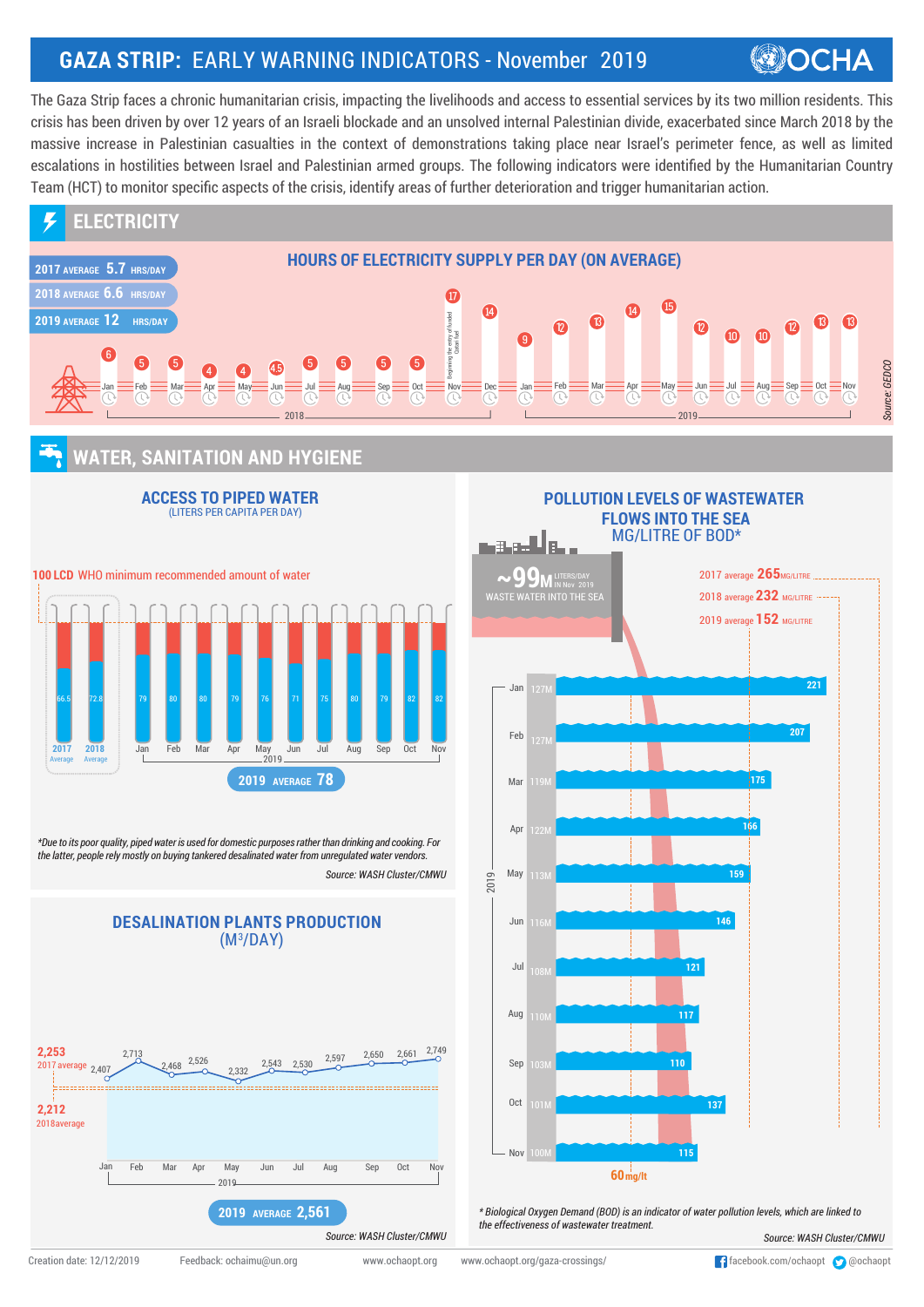## **GAZA STRIP:** EARLY WARNING INDICATORS - November 2019

## **OCHA**

The Gaza Strip faces a chronic humanitarian crisis, impacting the livelihoods and access to essential services by its two million residents. This crisis has been driven by over 12 years of an Israeli blockade and an unsolved internal Palestinian divide, exacerbated since March 2018 by the massive increase in Palestinian casualties in the context of demonstrations taking place near Israel's perimeter fence, as well as limited escalations in hostilities between Israel and Palestinian armed groups. The following indicators were identified by the Humanitarian Country Team (HCT) to monitor specific aspects of the crisis, identify areas of further deterioration and trigger humanitarian action.



## **WATER, SANITATION AND HYGIENE**